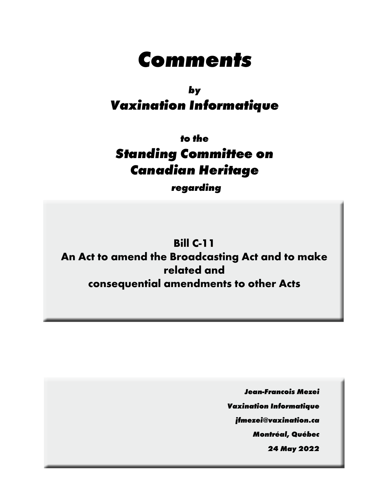# **Comments**

# **by Vaxination Informatique**

**to the Standing Committee on Canadian Heritage**

**regarding**

**Bill C-11 An Act to amend the Broadcasting Act and to make related and consequential amendments to other Acts**

> **Jean-Francois Mezei Vaxination Informatique jfmezei@vaxination.ca Montréal, Québec 24 May 2022**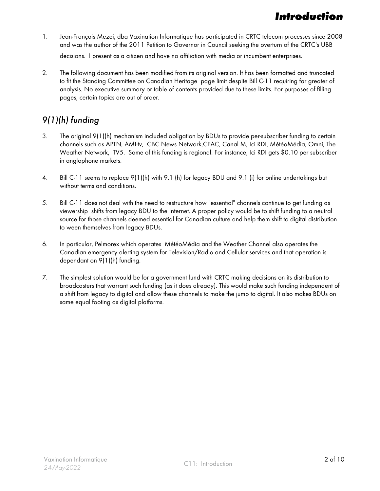# **Introduction**

- 1. Jean-François Mezei, dba Vaxination Informatique has participated in CRTC telecom processes since 2008 and was the author of the 2011 Petition to Governor in Council seeking the overturn of the CRTC's UBB decisions. I present as a citizen and have no affiliation with media or incumbent enterprises.
- 2. The following document has been modified from its original version. It has been formatted and truncated to fit the Standing Committee on Canadian Heritage page limit despite Bill C-11 requiring far greater of analysis. No executive summary or table of contents provided due to these limits. For purposes of filling pages, certain topics are out of order.

### 9(1)(h) funding

- 3. The original 9(1)(h) mechanism included obligation by BDUs to provide per-subscriber funding to certain channels such as APTN, AMI-tv, CBC News Network,CPAC, Canal M, Ici RDI, MétéoMédia, Omni, The Weather Network, TV5. Some of this funding is regional. For instance, Ici RDI gets \$0.10 per subscriber in anglophone markets.
- 4. Bill C-11 seems to replace 9(1)(h) with 9.1 (h) for legacy BDU and 9.1 (i) for online undertakings but without terms and conditions.
- 5. Bill C-11 does not deal with the need to restructure how "essential" channels continue to get funding as viewership shifts from legacy BDU to the Internet. A proper policy would be to shift funding to a neutral source for those channels deemed essential for Canadian culture and help them shift to digital distribution to ween themselves from legacy BDUs.
- 6. In particular, Pelmorex which operates MétéoMédia and the Weather Channel also operates the Canadian emergency alerting system for Television/Radio and Cellular services and that operation is dependant on 9(1)(h) funding.
- 7. The simplest solution would be for a government fund with CRTC making decisions on its distribution to broadcasters that warrant such funding (as it does already). This would make such funding independent of a shift from legacy to digital and allow these channels to make the jump to digital. It also makes BDUs on same equal footing as digital platforms.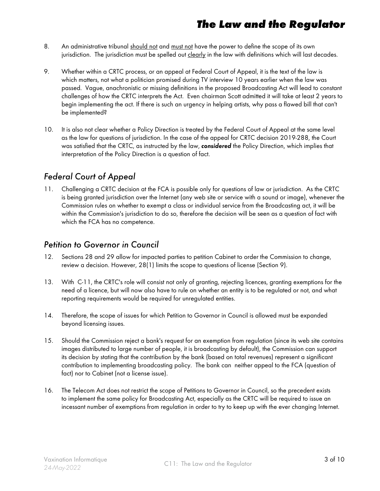### **The Law and the Regulator**

- 8. An administrative tribunal should not and must not have the power to define the scope of its own jurisdiction. The jurisdiction must be spelled out clearly in the law with definitions which will last decades.
- 9. Whether within a CRTC process, or an appeal at Federal Court of Appeal, it is the text of the law is which matters, not what a politician promised during TV interview 10 years earlier when the law was passed. Vague, anachronistic or missing definitions in the proposed Broadcasting Act will lead to constant challenges of how the CRTC interprets the Act. Even chairman Scott admitted it will take at least 2 years to begin implementing the act. If there is such an urgency in helping artists, why pass a flawed bill that can't be implemented?
- 10. It is also not clear whether a Policy Direction is treated by the Federal Court of Appeal at the same level as the law for questions of jurisdiction. In the case of the appeal for CRTC decision 2019-288, the Court was satisfied that the CRTC, as instructed by the law, **considered** the Policy Direction, which implies that interpretation of the Policy Direction is a question of fact.

### Federal Court of Appeal

11. Challenging a CRTC decision at the FCA is possible only for questions of law or jurisdiction. As the CRTC is being granted jurisdiction over the Internet (any web site or service with a sound or image), whenever the Commission rules on whether to exempt a class or individual service from the Broadcasting act, it will be within the Commission's jurisdiction to do so, therefore the decision will be seen as a question of fact with which the FCA has no competence.

### Petition to Governor in Council

- 12. Sections 28 and 29 allow for impacted parties to petition Cabinet to order the Commission to change, review a decision. However, 28(1) limits the scope to questions of license (Section 9).
- 13. With C-11, the CRTC's role will consist not only of granting, rejecting licences, granting exemptions for the need of a licence, but will now also have to rule on whether an entity is to be regulated or not, and what reporting requirements would be required for unregulated entities.
- 14. Therefore, the scope of issues for which Petition to Governor in Council is allowed must be expanded beyond licensing issues.
- 15. Should the Commission reject a bank's request for an exemption from regulation (since its web site contains images distributed to large number of people, it is broadcasting by default), the Commission can support its decision by stating that the contribution by the bank (based on total revenues) represent a significant contribution to implementing broadcasting policy. The bank can neither appeal to the FCA (question of fact) nor to Cabinet (not a license issue).
- 16. The Telecom Act does not restrict the scope of Petitions to Governor in Council, so the precedent exists to implement the same policy for Broadcasting Act, especially as the CRTC will be required to issue an incessant number of exemptions from regulation in order to try to keep up with the ever changing Internet.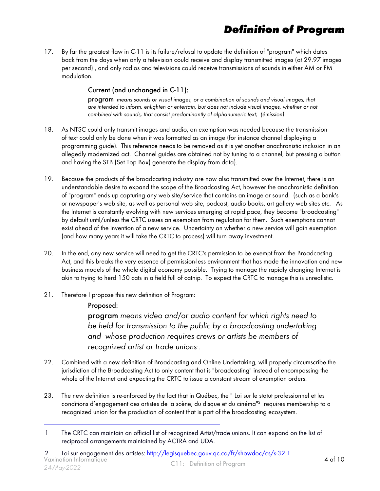# **Definition of Program**

17. By far the greatest flaw in C-11 is its failure/refusal to update the definition of "program" which dates back from the days when only a television could receive and display transmitted images (at 29.97 images per second) , and only radios and televisions could receive transmissions of sounds in either AM or FM modulation.

#### Current (and unchanged in C-11):

program means sounds or visual images, or a combination of sounds and visual images, that are intended to inform, enlighten or entertain, but does not include visual images, whether or not combined with sounds, that consist predominantly of alphanumeric text; (émission)

- 18. As NTSC could only transmit images and audio, an exemption was needed because the transmission of text could only be done when it was formatted as an image (for instance channel displaying a programming guide). This reference needs to be removed as it is yet another anachronistic inclusion in an allegedly modernized act. Channel guides are obtained not by tuning to a channel, but pressing a button and having the STB (Set Top Box) generate the display from data).
- 19. Because the products of the broadcasting industry are now also transmitted over the Internet, there is an understandable desire to expand the scope of the Broadcasting Act, however the anachronistic definition of "program" ends up capturing any web site/service that contains an image or sound. (such as a bank's or newspaper's web site, as well as personal web site, podcast, audio books, art gallery web sites etc. As the Internet is constantly evolving with new services emerging at rapid pace, they become "broadcasting" by default until/unless the CRTC issues an exemption from regulation for them. Such exemptions cannot exist ahead of the invention of a new service. Uncertainty on whether a new service will gain exemption (and how many years it will take the CRTC to process) will turn away investment.
- 20. In the end, any new service will need to get the CRTC's permission to be exempt from the Broadcasting Act, and this breaks the very essence of permission-less environment that has made the innovation and new business models of the whole digital economy possible. Trying to manage the rapidly changing Internet is akin to trying to herd 150 cats in a field full of catnip. To expect the CRTC to manage this is unrealistic.
- 21. Therefore I propose this new definition of Program:

#### Proposed:

program means video and/or audio content for which rights need to be held for transmission to the public by a broadcasting undertaking and whose production requires crews or artists be members of recognized artist or trade unions<sup>1</sup>.

- 22. Combined with a new definition of Broadcasting and Online Undertaking, will properly circumscribe the jurisdiction of the Broadcasting Act to only content that is "broadcasting" instead of encompassing the whole of the Internet and expecting the CRTC to issue a constant stream of exemption orders.
- 23. The new definition is re-enforced by the fact that in Québec, the " Loi sur le statut professionnel et les conditions d'engagement des artistes de la scène, du disque et du cinéma"2 requires membership to a recognized union for the production of content that is part of the broadcasting ecosystem.

<sup>1</sup> The CRTC can maintain an official list of recognized Artist/trade unions. It can expand on the list of reciprocal arrangements maintained by ACTRA and UDA.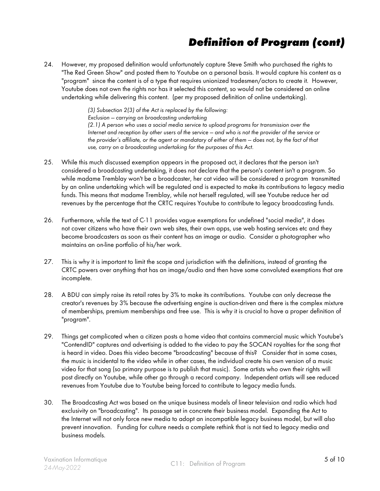# **Definition of Program (cont)**

24. However, my proposed definition would unfortunately capture Steve Smith who purchased the rights to "The Red Green Show" and posted them to Youtube on a personal basis. It would capture his content as a "program" since the content is of a type that requires unionized tradesmen/actors to create it. However, Youtube does not own the rights nor has it selected this content, so would not be considered an online undertaking while delivering this content. (per my proposed definition of online undertaking).

> (3) Subsection 2(3) of the Act is replaced by the following: Exclusion — carrying on broadcasting undertaking (2.1) A person who uses a social media service to upload programs for transmission over the Internet and reception by other users of the service — and who is not the provider of the service or the provider's affiliate, or the agent or mandatary of either of them — does not, by the fact of that use, carry on a broadcasting undertaking for the purposes of this Act.

- 25. While this much discussed exemption appears in the proposed act, it declares that the person isn't considered a broadcasting undertaking, it does not declare that the person's content isn't a program. So while madame Tremblay won't be a broadcaster, her cat video will be considered a program transmitted by an online undertaking which will be regulated and is expected to make its contributions to legacy media funds. This means that madame Tremblay, while not herself regulated, will see Youtube reduce her ad revenues by the percentage that the CRTC requires Youtube to contribute to legacy broadcasting funds.
- 26. Furthermore, while the text of C-11 provides vague exemptions for undefined "social media", it does not cover citizens who have their own web sites, their own apps, use web hosting services etc and they become broadcasters as soon as their content has an image or audio. Consider a photographer who maintains an on-line portfolio of his/her work.
- 27. This is why it is important to limit the scope and jurisdiction with the definitions, instead of granting the CRTC powers over anything that has an image/audio and then have some convoluted exemptions that are incomplete.
- 28. A BDU can simply raise its retail rates by 3% to make its contributions. Youtube can only decrease the creator's revenues by 3% because the advertising engine is auction-driven and there is the complex mixture of memberships, premium memberships and free use. This is why it is crucial to have a proper definition of "program".
- 29. Things get complicated when a citizen posts a home video that contains commercial music which Youtube's "ContendID" captures and advertising is added to the video to pay the SOCAN royalties for the song that is heard in video. Does this video become "broadcasting" because of this? Consider that in some cases, the music is incidental to the video while in other cases, the individual create his own version of a music video for that song (so primary purpose is to publish that music). Some artists who own their rights will post directly on Youtube, while other go through a record company. Independent artists will see reduced revenues from Youtube due to Youtube being forced to contribute to legacy media funds.
- 30. The Broadcasting Act was based on the unique business models of linear television and radio which had exclusivity on "broadcasting". Its passage set in concrete their business model. Expanding the Act to the Internet will not only force new media to adopt an incompatible legacy business model, but will also prevent innovation. Funding for culture needs a complete rethink that is not tied to legacy media and business models.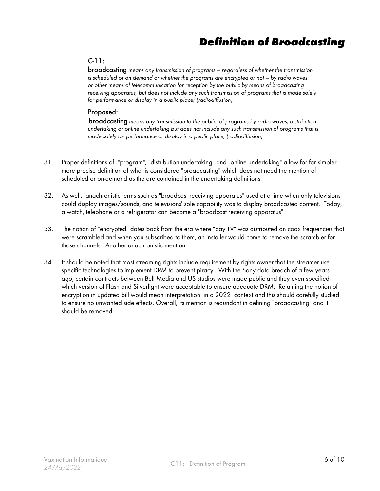### **Definition of Broadcasting**

#### C-11:

broadcasting means any transmission of programs — regardless of whether the transmission is scheduled or on demand or whether the programs are encrypted or not — by radio waves or other means of telecommunication for reception by the public by means of broadcasting receiving apparatus, but does not include any such transmission of programs that is made solely for performance or display in a public place; (radiodiffusion)

#### Proposed:

broadcasting means any transmission to the public of programs by radio waves, distribution undertaking or online undertaking but does not include any such transmission of programs that is made solely for performance or display in a public place; (radiodiffusion)

- 31. Proper definitions of "program", "distribution undertaking" and "online undertaking" allow for far simpler more precise definition of what is considered "broadcasting" which does not need the mention of scheduled or on-demand as the are contained in the undertaking definitions.
- 32. As well, anachronistic terms such as "broadcast receiving apparatus" used at a time when only televisions could display images/sounds, and televisions' sole capability was to display broadcasted content. Today, a watch, telephone or a refrigerator can become a "broadcast receiving apparatus".
- 33. The notion of "encrypted" dates back from the era where "pay TV" was distributed on coax frequencies that were scrambled and when you subscribed to them, an installer would come to remove the scrambler for those channels. Another anachronistic mention.
- 34. It should be noted that most streaming rights include requirement by rights owner that the streamer use specific technologies to implement DRM to prevent piracy. With the Sony data breach of a few years ago, certain contracts between Bell Media and US studios were made public and they even specified which version of Flash and Silverlight were acceptable to ensure adequate DRM. Retaining the notion of encryption in updated bill would mean interpretation in a 2022 context and this should carefully studied to ensure no unwanted side effects. Overall, its mention is redundant in defining "broadcasting" and it should be removed.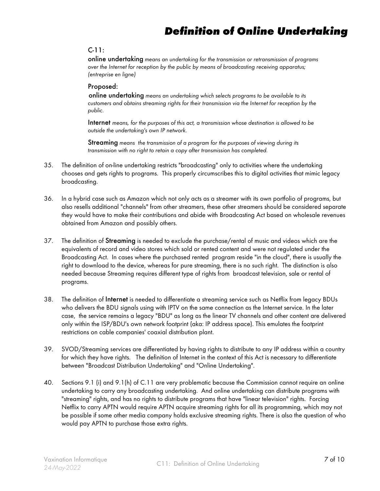# **Definition of Online Undertaking**

#### C-11:

online undertaking means an undertaking for the transmission or retransmission of programs over the Internet for reception by the public by means of broadcasting receiving apparatus; (entreprise en ligne)

#### Proposed:

online undertaking means an undertaking which selects programs to be available to its customers and obtains streaming rights for their transmission via the Internet for reception by the public.

Internet means, for the purposes of this act, a transmission whose destination is allowed to be outside the undertaking's own IP network.

Streaming means the transmission of a program for the purposes of viewing during its transmission with no right to retain a copy after transmission has completed.

- 35. The definition of on-line undertaking restricts "broadcasting" only to activities where the undertaking chooses and gets rights to programs. This properly circumscribes this to digital activities that mimic legacy broadcasting.
- 36. In a hybrid case such as Amazon which not only acts as a streamer with its own portfolio of programs, but also resells additional "channels" from other streamers, these other streamers should be considered separate they would have to make their contributions and abide with Broadcasting Act based on wholesale revenues obtained from Amazon and possibly others.
- 37. The definition of **Streaming** is needed to exclude the purchase/rental of music and videos which are the equivalents of record and video stores which sold or rented content and were not regulated under the Broadcasting Act. In cases where the purchased rented program reside "in the cloud", there is usually the right to download to the device, whereas for pure streaming, there is no such right. The distinction is also needed because Streaming requires different type of rights from broadcast television, sale or rental of programs.
- 38. The definition of **Internet** is needed to differentiate a streaming service such as Netflix from legacy BDUs who delivers the BDU signals using with IPTV on the same connection as the Internet service. In the later case, the service remains a legacy "BDU" as long as the linear TV channels and other content are delivered only within the ISP/BDU's own network footprint (aka: IP address space). This emulates the footprint restrictions on cable companies' coaxial distribution plant.
- 39. SVOD/Streaming services are differentiated by having rights to distribute to any IP address within a country for which they have rights. The definition of Internet in the context of this Act is necessary to differentiate between "Broadcast Distribution Undertaking" and "Online Undertaking".
- 40. Sections 9.1 (i) and 9.1(h) of C.11 are very problematic because the Commission cannot require an online undertaking to carry any broadcasting undertaking. And online undertaking can distribute programs with "streaming" rights, and has no rights to distribute programs that have "linear television" rights. Forcing Netflix to carry APTN would require APTN acquire streaming rights for all its programming, which may not be possible if some other media company holds exclusive streaming rights. There is also the question of who would pay APTN to purchase those extra rights.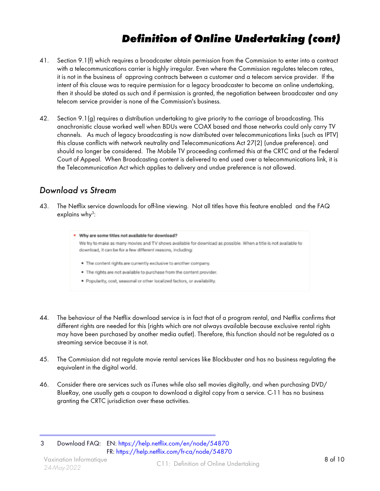# **Definition of Online Undertaking (cont)**

- 41. Section 9.1(f) which requires a broadcaster obtain permission from the Commission to enter into a contract with a telecommunications carrier is highly irregular. Even where the Commission regulates telecom rates, it is not in the business of approving contracts between a customer and a telecom service provider. If the intent of this clause was to require permission for a legacy broadcaster to become an online undertaking, then it should be stated as such and if permission is granted, the negotiation between broadcaster and any telecom service provider is none of the Commission's business.
- 42. Section 9.1(g) requires a distribution undertaking to give priority to the carriage of broadcasting. This anachronistic clause worked well when BDUs were COAX based and those networks could only carry TV channels. As much of legacy broadcasting is now distributed over telecommunications links (such as IPTV) this clause conflicts with network neutrality and Telecommunications Act 27(2) (undue preference). and should no longer be considered. The Mobile TV proceeding confirmed this at the CRTC and at the Federal Court of Appeal. When Broadcasting content is delivered to end used over a telecommunications link, it is the Telecommunication Act which applies to delivery and undue preference is not allowed.

### Download vs Stream

43. The Netflix service downloads for off-line viewing. Not all titles have this feature enabled and the FAQ explains why<sup>3</sup>:

| • Why are some titles not available for download?                                                                                                                              |
|--------------------------------------------------------------------------------------------------------------------------------------------------------------------------------|
| We try to make as many movies and TV shows available for download as possible. When a title is not available to<br>download, it can be for a few different reasons, including: |
| . The content rights are currently exclusive to another company.                                                                                                               |
| . The rights are not available to purchase from the content provider.                                                                                                          |
| · Popularity, cost, seasonal or other localized factors, or availability.                                                                                                      |

- 44. The behaviour of the Netflix download service is in fact that of a program rental, and Netflix confirms that different rights are needed for this (rights which are not always available because exclusive rental rights may have been purchased by another media outlet). Therefore, this function should not be regulated as a streaming service because it is not.
- 45. The Commission did not regulate movie rental services like Blockbuster and has no business regulating the equivalent in the digital world.
- 46. Consider there are services such as iTunes while also sell movies digitally, and when purchasing DVD/ BlueRay, one usually gets a coupon to download a digital copy from a service. C-11 has no business granting the CRTC jurisdiction over these activities.

3 Download FAQ: EN[: https://help.netflix.com/en/node/54870]( https://help.netflix.com/en/node/54870 )  FR:<https://help.netflix.com/fr-ca/node/54870>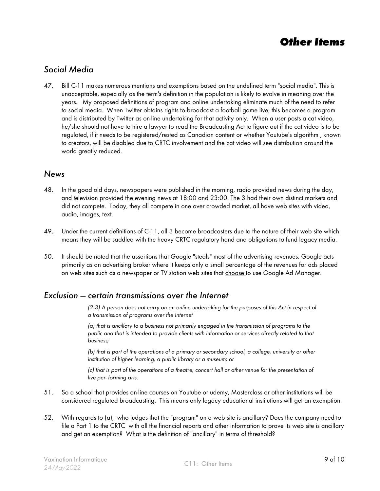### **Other Items**

### Social Media

47. Bill C-11 makes numerous mentions and exemptions based on the undefined term "social media". This is unacceptable, especially as the term's definition in the population is likely to evolve in meaning over the years. My proposed definitions of program and online undertaking eliminate much of the need to refer to social media. When Twitter obtains rights to broadcast a football game live, this becomes a program and is distributed by Twitter as on-line undertaking for that activity only. When a user posts a cat video, he/she should not have to hire a lawyer to read the Broadcasting Act to figure out if the cat video is to be regulated, if it needs to be registered/rested as Canadian content or whether Youtube's algorithm , known to creators, will be disabled due to CRTC involvement and the cat video will see distribution around the world greatly reduced.

#### News

- 48. In the good old days, newspapers were published in the morning, radio provided news during the day, and television provided the evening news at 18:00 and 23:00. The 3 had their own distinct markets and did not compete. Today, they all compete in one over crowded market, all have web sites with video, audio, images, text.
- 49. Under the current definitions of C-11, all 3 become broadcasters due to the nature of their web site which means they will be saddled with the heavy CRTC regulatory hand and obligations to fund legacy media.
- 50. It should be noted that the assertions that Google "steals" most of the advertising revenues. Google acts primarily as an advertising broker where it keeps only a small percentage of the revenues for ads placed on web sites such as a newspaper or TV station web sites that choose to use Google Ad Manager.

#### Exclusion — certain transmissions over the Internet

(2.3) A person does not carry on an online undertaking for the purposes of this Act in respect of a transmission of programs over the Internet

(a) that is ancillary to a business not primarily engaged in the transmission of programs to the public and that is intended to provide clients with information or services directly related to that business;

(b) that is part of the operations of a primary or secondary school, a college, university or other institution of higher learning, a public library or a museum; or

(c) that is part of the operations of a theatre, concert hall or other venue for the presentation of live per- forming arts.

- 51. So a school that provides on-line courses on Youtube or udemy, Masterclass or other institutions will be considered regulated broadcasting. This means only legacy educational institutions will get an exemption.
- 52. With regards to (a), who judges that the "program" on a web site is ancillary? Does the company need to file a Part 1 to the CRTC with all the financial reports and other information to prove its web site is ancillary and get an exemption? What is the definition of "ancillary" in terms of threshold?